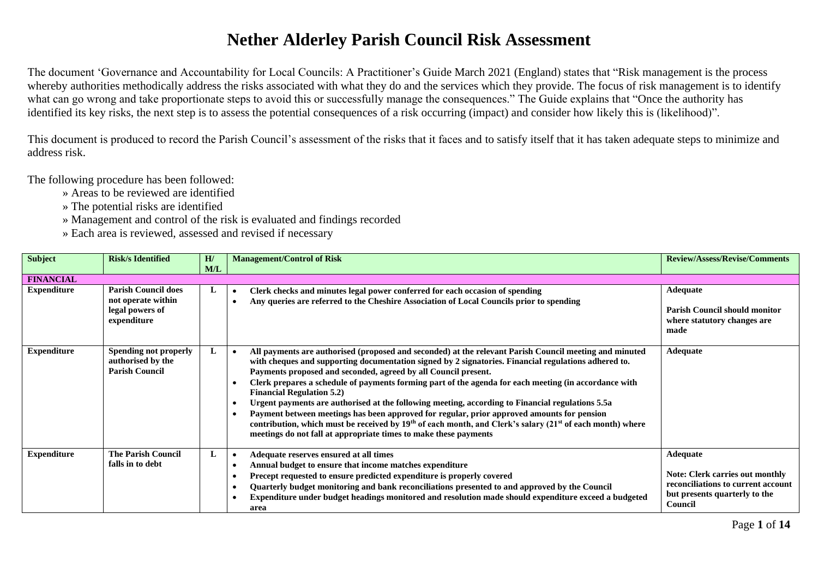## **Nether Alderley Parish Council Risk Assessment**

The document 'Governance and Accountability for Local Councils: A Practitioner's Guide March 2021 (England) states that "Risk management is the process whereby authorities methodically address the risks associated with what they do and the services which they provide. The focus of risk management is to identify what can go wrong and take proportionate steps to avoid this or successfully manage the consequences." The Guide explains that "Once the authority has identified its key risks, the next step is to assess the potential consequences of a risk occurring (impact) and consider how likely this is (likelihood)".

This document is produced to record the Parish Council's assessment of the risks that it faces and to satisfy itself that it has taken adequate steps to minimize and address risk.

The following procedure has been followed:

- » Areas to be reviewed are identified
- » The potential risks are identified
- » Management and control of the risk is evaluated and findings recorded
- » Each area is reviewed, assessed and revised if necessary

| <b>Subject</b>     | <b>Risk/s Identified</b>                                                           | H/<br>M/L | <b>Management/Control of Risk</b>                                                                                                                                                                                                                                                                                                                                                                                                                                                                                                                                                                                                                                                                                                                                                                                     | <b>Review/Assess/Revise/Comments</b>                                                                                                        |
|--------------------|------------------------------------------------------------------------------------|-----------|-----------------------------------------------------------------------------------------------------------------------------------------------------------------------------------------------------------------------------------------------------------------------------------------------------------------------------------------------------------------------------------------------------------------------------------------------------------------------------------------------------------------------------------------------------------------------------------------------------------------------------------------------------------------------------------------------------------------------------------------------------------------------------------------------------------------------|---------------------------------------------------------------------------------------------------------------------------------------------|
| <b>FINANCIAL</b>   |                                                                                    |           |                                                                                                                                                                                                                                                                                                                                                                                                                                                                                                                                                                                                                                                                                                                                                                                                                       |                                                                                                                                             |
| <b>Expenditure</b> | <b>Parish Council does</b><br>not operate within<br>legal powers of<br>expenditure | L         | Clerk checks and minutes legal power conferred for each occasion of spending<br>Any queries are referred to the Cheshire Association of Local Councils prior to spending                                                                                                                                                                                                                                                                                                                                                                                                                                                                                                                                                                                                                                              | <b>Adequate</b><br><b>Parish Council should monitor</b><br>where statutory changes are<br>made                                              |
| <b>Expenditure</b> | Spending not properly<br>authorised by the<br><b>Parish Council</b>                | L         | All payments are authorised (proposed and seconded) at the relevant Parish Council meeting and minuted<br>with cheques and supporting documentation signed by 2 signatories. Financial regulations adhered to.<br>Payments proposed and seconded, agreed by all Council present.<br>Clerk prepares a schedule of payments forming part of the agenda for each meeting (in accordance with<br><b>Financial Regulation 5.2)</b><br>Urgent payments are authorised at the following meeting, according to Financial regulations 5.5a<br>Payment between meetings has been approved for regular, prior approved amounts for pension<br>contribution, which must be received by $19th$ of each month, and Clerk's salary ( $21st$ of each month) where<br>meetings do not fall at appropriate times to make these payments | Adequate                                                                                                                                    |
| <b>Expenditure</b> | <b>The Parish Council</b><br>falls in to debt                                      | L         | Adequate reserves ensured at all times<br>Annual budget to ensure that income matches expenditure<br>Precept requested to ensure predicted expenditure is properly covered<br>Quarterly budget monitoring and bank reconciliations presented to and approved by the Council<br>Expenditure under budget headings monitored and resolution made should expenditure exceed a budgeted<br>area                                                                                                                                                                                                                                                                                                                                                                                                                           | <b>Adequate</b><br><b>Note: Clerk carries out monthly</b><br>reconciliations to current account<br>but presents quarterly to the<br>Council |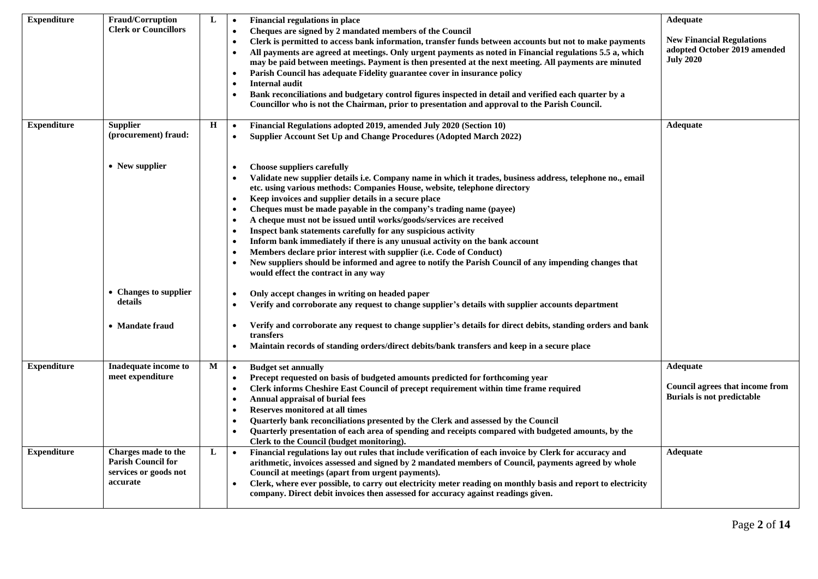| <b>Expenditure</b> | <b>Fraud/Corruption</b>                                                               | L | <b>Financial regulations in place</b><br>$\bullet$                                                                                                                                                                                                                                                                                                                                                                                                                                                                                                                                                                                                                                                                                                                                                                                                                                                                                                                                                                                                                                                                                                                                                    | <b>Adequate</b>                                                                         |
|--------------------|---------------------------------------------------------------------------------------|---|-------------------------------------------------------------------------------------------------------------------------------------------------------------------------------------------------------------------------------------------------------------------------------------------------------------------------------------------------------------------------------------------------------------------------------------------------------------------------------------------------------------------------------------------------------------------------------------------------------------------------------------------------------------------------------------------------------------------------------------------------------------------------------------------------------------------------------------------------------------------------------------------------------------------------------------------------------------------------------------------------------------------------------------------------------------------------------------------------------------------------------------------------------------------------------------------------------|-----------------------------------------------------------------------------------------|
|                    | <b>Clerk or Councillors</b>                                                           |   | Cheques are signed by 2 mandated members of the Council<br>Clerk is permitted to access bank information, transfer funds between accounts but not to make payments<br>All payments are agreed at meetings. Only urgent payments as noted in Financial regulations 5.5 a, which<br>$\bullet$<br>may be paid between meetings. Payment is then presented at the next meeting. All payments are minuted<br>Parish Council has adequate Fidelity guarantee cover in insurance policy<br>$\bullet$<br><b>Internal audit</b><br>Bank reconciliations and budgetary control figures inspected in detail and verified each quarter by a<br>Councillor who is not the Chairman, prior to presentation and approval to the Parish Council.                                                                                                                                                                                                                                                                                                                                                                                                                                                                      | <b>New Financial Regulations</b><br>adopted October 2019 amended<br><b>July 2020</b>    |
| <b>Expenditure</b> | <b>Supplier</b><br>(procurement) fraud:                                               | Н | Financial Regulations adopted 2019, amended July 2020 (Section 10)<br>$\bullet$<br>Supplier Account Set Up and Change Procedures (Adopted March 2022)                                                                                                                                                                                                                                                                                                                                                                                                                                                                                                                                                                                                                                                                                                                                                                                                                                                                                                                                                                                                                                                 | <b>Adequate</b>                                                                         |
|                    | • New supplier<br>• Changes to supplier<br>details<br>• Mandate fraud                 |   | <b>Choose suppliers carefully</b><br>$\bullet$<br>Validate new supplier details i.e. Company name in which it trades, business address, telephone no., email<br>$\bullet$<br>etc. using various methods: Companies House, website, telephone directory<br>Keep invoices and supplier details in a secure place<br>$\bullet$<br>Cheques must be made payable in the company's trading name (payee)<br>A cheque must not be issued until works/goods/services are received<br>$\bullet$<br>Inspect bank statements carefully for any suspicious activity<br>$\bullet$<br>Inform bank immediately if there is any unusual activity on the bank account<br>Members declare prior interest with supplier (i.e. Code of Conduct)<br>$\bullet$<br>New suppliers should be informed and agree to notify the Parish Council of any impending changes that<br>would effect the contract in any way<br>Only accept changes in writing on headed paper<br>$\bullet$<br>Verify and corroborate any request to change supplier's details with supplier accounts department<br>$\bullet$<br>Verify and corroborate any request to change supplier's details for direct debits, standing orders and bank<br>$\bullet$ |                                                                                         |
|                    |                                                                                       |   | transfers<br>Maintain records of standing orders/direct debits/bank transfers and keep in a secure place                                                                                                                                                                                                                                                                                                                                                                                                                                                                                                                                                                                                                                                                                                                                                                                                                                                                                                                                                                                                                                                                                              |                                                                                         |
| <b>Expenditure</b> | Inadequate income to<br>meet expenditure                                              | M | <b>Budget set annually</b><br>$\bullet$<br>Precept requested on basis of budgeted amounts predicted for forthcoming year<br>$\bullet$<br>Clerk informs Cheshire East Council of precept requirement within time frame required<br><b>Annual appraisal of burial fees</b><br>Reserves monitored at all times<br>$\bullet$<br>Quarterly bank reconciliations presented by the Clerk and assessed by the Council<br>Quarterly presentation of each area of spending and receipts compared with budgeted amounts, by the<br>$\bullet$<br>Clerk to the Council (budget monitoring).                                                                                                                                                                                                                                                                                                                                                                                                                                                                                                                                                                                                                        | <b>Adequate</b><br><b>Council agrees that income from</b><br>Burials is not predictable |
| <b>Expenditure</b> | Charges made to the<br><b>Parish Council for</b><br>services or goods not<br>accurate | L | Financial regulations lay out rules that include verification of each invoice by Clerk for accuracy and<br>$\bullet$<br>arithmetic, invoices assessed and signed by 2 mandated members of Council, payments agreed by whole<br>Council at meetings (apart from urgent payments).<br>Clerk, where ever possible, to carry out electricity meter reading on monthly basis and report to electricity<br>company. Direct debit invoices then assessed for accuracy against readings given.                                                                                                                                                                                                                                                                                                                                                                                                                                                                                                                                                                                                                                                                                                                | <b>Adequate</b>                                                                         |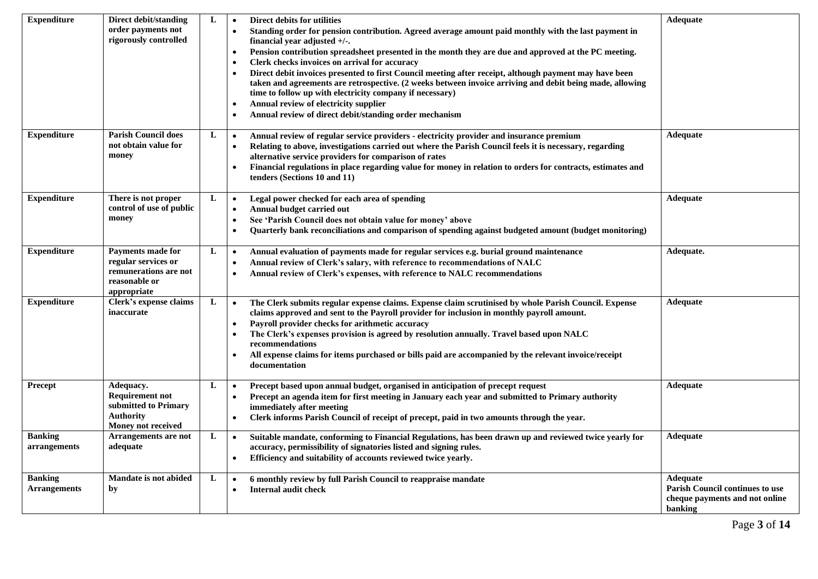| <b>Expenditure</b>                    | Direct debit/standing<br>order payments not<br>rigorously controlled                                     | L | Direct debits for utilities<br>$\bullet$<br>Standing order for pension contribution. Agreed average amount paid monthly with the last payment in<br>$\bullet$<br>financial year adjusted +/-.<br>Pension contribution spreadsheet presented in the month they are due and approved at the PC meeting.<br>$\bullet$<br>Clerk checks invoices on arrival for accuracy<br>$\bullet$<br>Direct debit invoices presented to first Council meeting after receipt, although payment may have been<br>$\bullet$<br>taken and agreements are retrospective. (2 weeks between invoice arriving and debit being made, allowing<br>time to follow up with electricity company if necessary)<br>Annual review of electricity supplier<br>$\bullet$<br>Annual review of direct debit/standing order mechanism<br>$\bullet$ | Adequate                                                                                        |
|---------------------------------------|----------------------------------------------------------------------------------------------------------|---|--------------------------------------------------------------------------------------------------------------------------------------------------------------------------------------------------------------------------------------------------------------------------------------------------------------------------------------------------------------------------------------------------------------------------------------------------------------------------------------------------------------------------------------------------------------------------------------------------------------------------------------------------------------------------------------------------------------------------------------------------------------------------------------------------------------|-------------------------------------------------------------------------------------------------|
| <b>Expenditure</b>                    | <b>Parish Council does</b><br>not obtain value for<br>money                                              | L | Annual review of regular service providers - electricity provider and insurance premium<br>$\bullet$<br>Relating to above, investigations carried out where the Parish Council feels it is necessary, regarding<br>$\bullet$<br>alternative service providers for comparison of rates<br>Financial regulations in place regarding value for money in relation to orders for contracts, estimates and<br>$\bullet$<br>tenders (Sections 10 and 11)                                                                                                                                                                                                                                                                                                                                                            | Adequate                                                                                        |
| <b>Expenditure</b>                    | There is not proper<br>control of use of public<br>money                                                 | L | Legal power checked for each area of spending<br>$\bullet$<br>Annual budget carried out<br>$\bullet$<br>See 'Parish Council does not obtain value for money' above<br>$\bullet$<br>Quarterly bank reconciliations and comparison of spending against budgeted amount (budget monitoring)<br>$\bullet$                                                                                                                                                                                                                                                                                                                                                                                                                                                                                                        | Adequate                                                                                        |
| <b>Expenditure</b>                    | <b>Payments made for</b><br>regular services or<br>remunerations are not<br>reasonable or<br>appropriate | L | Annual evaluation of payments made for regular services e.g. burial ground maintenance<br>$\bullet$<br>Annual review of Clerk's salary, with reference to recommendations of NALC<br>$\bullet$<br>Annual review of Clerk's expenses, with reference to NALC recommendations<br>$\bullet$                                                                                                                                                                                                                                                                                                                                                                                                                                                                                                                     | Adequate.                                                                                       |
| <b>Expenditure</b>                    | Clerk's expense claims<br>inaccurate                                                                     | L | The Clerk submits regular expense claims. Expense claim scrutinised by whole Parish Council. Expense<br>$\bullet$<br>claims approved and sent to the Payroll provider for inclusion in monthly payroll amount.<br>Payroll provider checks for arithmetic accuracy<br>$\bullet$<br>The Clerk's expenses provision is agreed by resolution annually. Travel based upon NALC<br>$\bullet$<br>recommendations<br>All expense claims for items purchased or bills paid are accompanied by the relevant invoice/receipt<br>$\bullet$<br>documentation                                                                                                                                                                                                                                                              | <b>Adequate</b>                                                                                 |
| <b>Precept</b>                        | Adequacy.<br><b>Requirement not</b><br>submitted to Primary<br>Authority<br>Money not received           | L | Precept based upon annual budget, organised in anticipation of precept request<br>$\bullet$<br>Precept an agenda item for first meeting in January each year and submitted to Primary authority<br>$\bullet$<br>immediately after meeting<br>Clerk informs Parish Council of receipt of precept, paid in two amounts through the year.<br>$\bullet$                                                                                                                                                                                                                                                                                                                                                                                                                                                          | Adequate                                                                                        |
| <b>Banking</b><br>arrangements        | Arrangements are not<br>adequate                                                                         | L | Suitable mandate, conforming to Financial Regulations, has been drawn up and reviewed twice yearly for<br>$\bullet$<br>accuracy, permissibility of signatories listed and signing rules.<br>Efficiency and suitability of accounts reviewed twice yearly.<br>$\bullet$                                                                                                                                                                                                                                                                                                                                                                                                                                                                                                                                       | <b>Adequate</b>                                                                                 |
| <b>Banking</b><br><b>Arrangements</b> | Mandate is not abided<br>by                                                                              | L | 6 monthly review by full Parish Council to reappraise mandate<br>$\bullet$<br>Internal audit check<br>$\bullet$                                                                                                                                                                                                                                                                                                                                                                                                                                                                                                                                                                                                                                                                                              | <b>Adequate</b><br>Parish Council continues to use<br>cheque payments and not online<br>banking |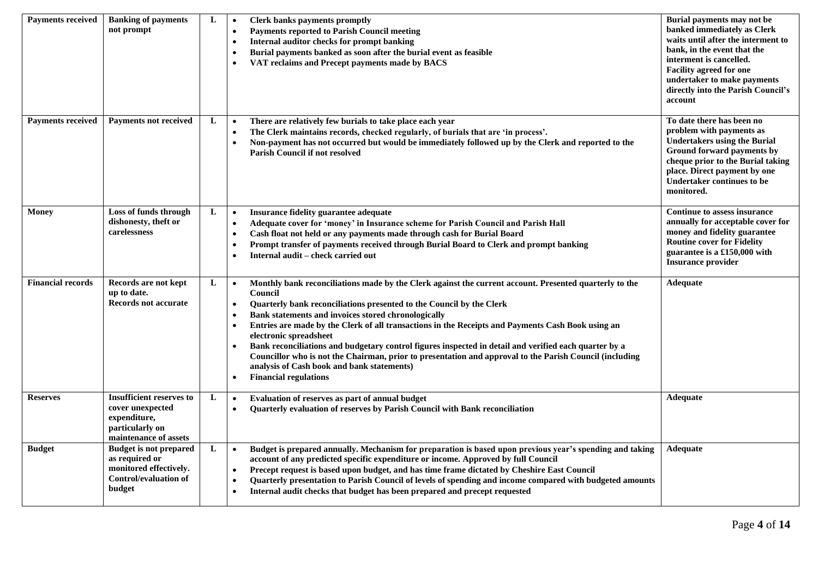| <b>Payments received</b> | <b>Banking of payments</b><br>not prompt                                                                            | L | Clerk banks payments promptly<br>$\bullet$<br><b>Payments reported to Parish Council meeting</b><br>$\bullet$<br>Internal auditor checks for prompt banking<br>$\bullet$<br>Burial payments banked as soon after the burial event as feasible<br>٠<br>VAT reclaims and Precept payments made by BACS                                                                                                                                                                                                                                                                                                                                                                                                                                  | Burial payments may not be<br>banked immediately as Clerk<br>waits until after the interment to<br>bank, in the event that the<br>interment is cancelled.<br><b>Facility agreed for one</b><br>undertaker to make payments<br>directly into the Parish Council's<br>account |
|--------------------------|---------------------------------------------------------------------------------------------------------------------|---|---------------------------------------------------------------------------------------------------------------------------------------------------------------------------------------------------------------------------------------------------------------------------------------------------------------------------------------------------------------------------------------------------------------------------------------------------------------------------------------------------------------------------------------------------------------------------------------------------------------------------------------------------------------------------------------------------------------------------------------|-----------------------------------------------------------------------------------------------------------------------------------------------------------------------------------------------------------------------------------------------------------------------------|
| <b>Payments received</b> | Payments not received                                                                                               | L | There are relatively few burials to take place each year<br>$\bullet$<br>The Clerk maintains records, checked regularly, of burials that are 'in process'.<br>$\bullet$<br>Non-payment has not occurred but would be immediately followed up by the Clerk and reported to the<br>$\bullet$<br><b>Parish Council if not resolved</b>                                                                                                                                                                                                                                                                                                                                                                                                   | To date there has been no<br>problem with payments as<br><b>Undertakers using the Burial</b><br>Ground forward payments by<br>cheque prior to the Burial taking<br>place. Direct payment by one<br>Undertaker continues to be<br>monitored.                                 |
| <b>Money</b>             | Loss of funds through<br>dishonesty, theft or<br>carelessness                                                       | L | Insurance fidelity guarantee adequate<br>$\bullet$<br>Adequate cover for 'money' in Insurance scheme for Parish Council and Parish Hall<br>$\bullet$<br>Cash float not held or any payments made through cash for Burial Board<br>$\bullet$<br>Prompt transfer of payments received through Burial Board to Clerk and prompt banking<br>$\bullet$<br>Internal audit – check carried out<br>$\bullet$                                                                                                                                                                                                                                                                                                                                  | <b>Continue to assess insurance</b><br>annually for acceptable cover for<br>money and fidelity guarantee<br><b>Routine cover for Fidelity</b><br>guarantee is a £150,000 with<br><b>Insurance provider</b>                                                                  |
| <b>Financial records</b> | Records are not kept<br>up to date.<br>Records not accurate                                                         | L | Monthly bank reconciliations made by the Clerk against the current account. Presented quarterly to the<br>$\bullet$<br>Council<br>Quarterly bank reconciliations presented to the Council by the Clerk<br>$\bullet$<br>Bank statements and invoices stored chronologically<br>Entries are made by the Clerk of all transactions in the Receipts and Payments Cash Book using an<br>$\bullet$<br>electronic spreadsheet<br>Bank reconciliations and budgetary control figures inspected in detail and verified each quarter by a<br>Councillor who is not the Chairman, prior to presentation and approval to the Parish Council (including<br>analysis of Cash book and bank statements)<br><b>Financial regulations</b><br>$\bullet$ | <b>Adequate</b>                                                                                                                                                                                                                                                             |
| <b>Reserves</b>          | <b>Insufficient reserves to</b><br>cover unexpected<br>expenditure,<br>particularly on<br>maintenance of assets     | L | Evaluation of reserves as part of annual budget<br>$\bullet$<br>Quarterly evaluation of reserves by Parish Council with Bank reconciliation<br>$\bullet$                                                                                                                                                                                                                                                                                                                                                                                                                                                                                                                                                                              | <b>Adequate</b>                                                                                                                                                                                                                                                             |
| <b>Budget</b>            | <b>Budget is not prepared</b><br>as required or<br>monitored effectively.<br><b>Control/evaluation of</b><br>budget | L | Budget is prepared annually. Mechanism for preparation is based upon previous year's spending and taking<br>$\bullet$<br>account of any predicted specific expenditure or income. Approved by full Council<br>Precept request is based upon budget, and has time frame dictated by Cheshire East Council<br>$\bullet$<br>Quarterly presentation to Parish Council of levels of spending and income compared with budgeted amounts<br>$\bullet$<br>Internal audit checks that budget has been prepared and precept requested<br>$\bullet$                                                                                                                                                                                              | <b>Adequate</b>                                                                                                                                                                                                                                                             |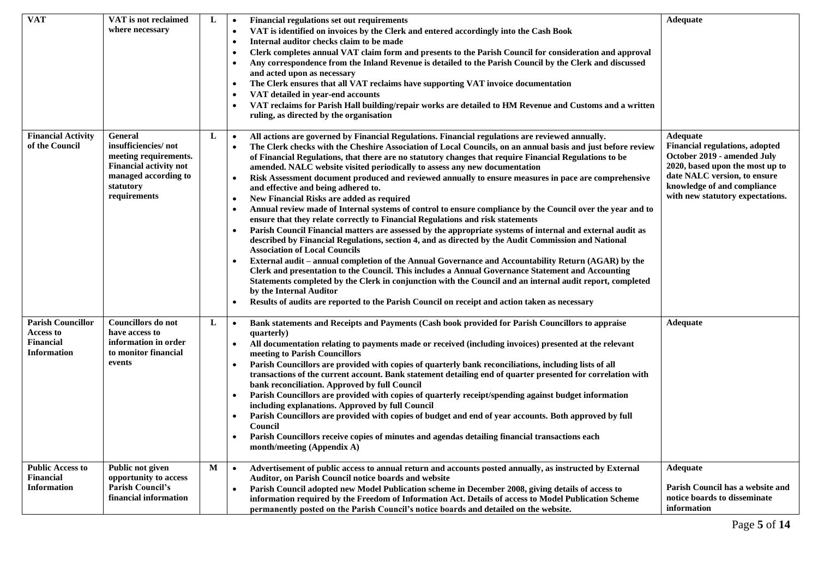| Adequate<br><b>Financial regulations set out requirements</b><br>where necessary<br>VAT is identified on invoices by the Clerk and entered accordingly into the Cash Book<br>$\bullet$<br>Internal auditor checks claim to be made<br>$\bullet$<br>Clerk completes annual VAT claim form and presents to the Parish Council for consideration and approval |  |
|------------------------------------------------------------------------------------------------------------------------------------------------------------------------------------------------------------------------------------------------------------------------------------------------------------------------------------------------------------|--|
|                                                                                                                                                                                                                                                                                                                                                            |  |
|                                                                                                                                                                                                                                                                                                                                                            |  |
|                                                                                                                                                                                                                                                                                                                                                            |  |
| Any correspondence from the Inland Revenue is detailed to the Parish Council by the Clerk and discussed                                                                                                                                                                                                                                                    |  |
| and acted upon as necessary                                                                                                                                                                                                                                                                                                                                |  |
| The Clerk ensures that all VAT reclaims have supporting VAT invoice documentation                                                                                                                                                                                                                                                                          |  |
| VAT detailed in year-end accounts<br>$\bullet$                                                                                                                                                                                                                                                                                                             |  |
| VAT reclaims for Parish Hall building/repair works are detailed to HM Revenue and Customs and a written                                                                                                                                                                                                                                                    |  |
| ruling, as directed by the organisation                                                                                                                                                                                                                                                                                                                    |  |
|                                                                                                                                                                                                                                                                                                                                                            |  |
| <b>Financial Activity</b><br>General<br>L<br>Adequate<br>All actions are governed by Financial Regulations. Financial regulations are reviewed annually.<br>$\bullet$                                                                                                                                                                                      |  |
| insufficiencies/not<br>of the Council<br><b>Financial regulations, adopted</b><br>The Clerk checks with the Cheshire Association of Local Councils, on an annual basis and just before review                                                                                                                                                              |  |
| meeting requirements.<br>October 2019 - amended July<br>of Financial Regulations, that there are no statutory changes that require Financial Regulations to be                                                                                                                                                                                             |  |
| <b>Financial activity not</b><br>2020, based upon the most up to<br>amended. NALC website visited periodically to assess any new documentation                                                                                                                                                                                                             |  |
| managed according to<br>date NALC version, to ensure<br>Risk Assessment document produced and reviewed annually to ensure measures in pace are comprehensive                                                                                                                                                                                               |  |
| knowledge of and compliance<br>statutory<br>and effective and being adhered to.                                                                                                                                                                                                                                                                            |  |
| requirements<br>with new statutory expectations.<br>New Financial Risks are added as required<br>٠                                                                                                                                                                                                                                                         |  |
| Annual review made of Internal systems of control to ensure compliance by the Council over the year and to<br>$\bullet$                                                                                                                                                                                                                                    |  |
| ensure that they relate correctly to Financial Regulations and risk statements                                                                                                                                                                                                                                                                             |  |
| Parish Council Financial matters are assessed by the appropriate systems of internal and external audit as                                                                                                                                                                                                                                                 |  |
| described by Financial Regulations, section 4, and as directed by the Audit Commission and National                                                                                                                                                                                                                                                        |  |
| <b>Association of Local Councils</b>                                                                                                                                                                                                                                                                                                                       |  |
| External audit – annual completion of the Annual Governance and Accountability Return (AGAR) by the                                                                                                                                                                                                                                                        |  |
| Clerk and presentation to the Council. This includes a Annual Governance Statement and Accounting                                                                                                                                                                                                                                                          |  |
| Statements completed by the Clerk in conjunction with the Council and an internal audit report, completed                                                                                                                                                                                                                                                  |  |
| by the Internal Auditor                                                                                                                                                                                                                                                                                                                                    |  |
| Results of audits are reported to the Parish Council on receipt and action taken as necessary                                                                                                                                                                                                                                                              |  |
| <b>Parish Councillor</b><br>Councillors do not<br>L<br>Adequate<br>Bank statements and Receipts and Payments (Cash book provided for Parish Councillors to appraise<br>$\bullet$                                                                                                                                                                           |  |
| Access to<br>have access to<br>quarterly)                                                                                                                                                                                                                                                                                                                  |  |
| <b>Financial</b><br>information in order<br>All documentation relating to payments made or received (including invoices) presented at the relevant                                                                                                                                                                                                         |  |
| <b>Information</b><br>to monitor financial<br>meeting to Parish Councillors                                                                                                                                                                                                                                                                                |  |
| events<br>Parish Councillors are provided with copies of quarterly bank reconciliations, including lists of all                                                                                                                                                                                                                                            |  |
| transactions of the current account. Bank statement detailing end of quarter presented for correlation with                                                                                                                                                                                                                                                |  |
| bank reconciliation. Approved by full Council                                                                                                                                                                                                                                                                                                              |  |
| Parish Councillors are provided with copies of quarterly receipt/spending against budget information                                                                                                                                                                                                                                                       |  |
| including explanations. Approved by full Council                                                                                                                                                                                                                                                                                                           |  |
| Parish Councillors are provided with copies of budget and end of year accounts. Both approved by full                                                                                                                                                                                                                                                      |  |
| Council                                                                                                                                                                                                                                                                                                                                                    |  |
| Parish Councillors receive copies of minutes and agendas detailing financial transactions each                                                                                                                                                                                                                                                             |  |
| month/meeting (Appendix A)                                                                                                                                                                                                                                                                                                                                 |  |
| <b>Public Access to</b><br>Public not given<br>M<br>Advertisement of public access to annual return and accounts posted annually, as instructed by External<br>Adequate<br>$\bullet$                                                                                                                                                                       |  |
| <b>Financial</b><br>opportunity to access<br>Auditor, on Parish Council notice boards and website                                                                                                                                                                                                                                                          |  |
| <b>Parish Council's</b><br><b>Information</b><br>Parish Council has a website and<br>Parish Council adopted new Model Publication scheme in December 2008, giving details of access to                                                                                                                                                                     |  |
| financial information<br>notice boards to disseminate<br>information required by the Freedom of Information Act. Details of access to Model Publication Scheme                                                                                                                                                                                             |  |
| information<br>permanently posted on the Parish Council's notice boards and detailed on the website.                                                                                                                                                                                                                                                       |  |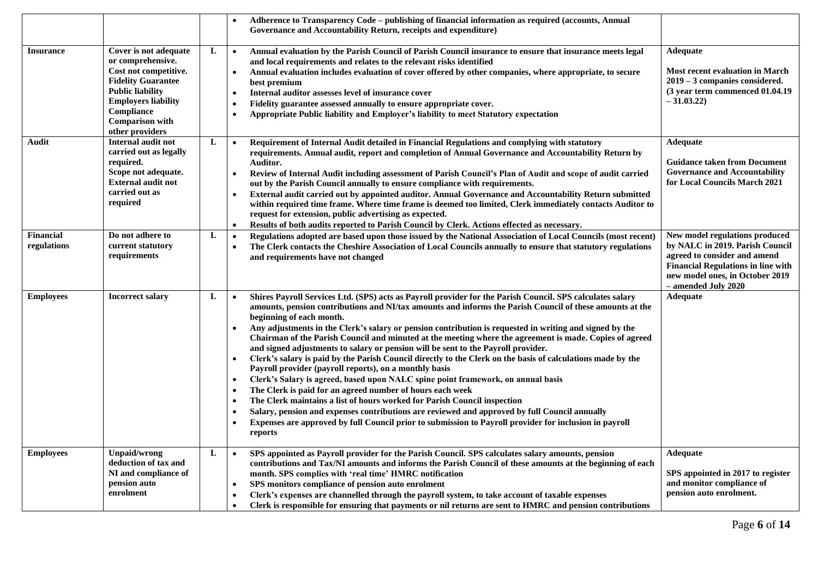|                                 |                                                                                                                                                                                                                      |              | Adherence to Transparency Code - publishing of financial information as required (accounts, Annual<br>Governance and Accountability Return, receipts and expenditure)                                                                                                                                                                                                                                                                                                                                                                                                                                                                                                                                                                                                                                                                                                                                                                                                                                                                                                                                                                                                                                                                                                                            |                                                                                                                                                                                                          |
|---------------------------------|----------------------------------------------------------------------------------------------------------------------------------------------------------------------------------------------------------------------|--------------|--------------------------------------------------------------------------------------------------------------------------------------------------------------------------------------------------------------------------------------------------------------------------------------------------------------------------------------------------------------------------------------------------------------------------------------------------------------------------------------------------------------------------------------------------------------------------------------------------------------------------------------------------------------------------------------------------------------------------------------------------------------------------------------------------------------------------------------------------------------------------------------------------------------------------------------------------------------------------------------------------------------------------------------------------------------------------------------------------------------------------------------------------------------------------------------------------------------------------------------------------------------------------------------------------|----------------------------------------------------------------------------------------------------------------------------------------------------------------------------------------------------------|
| <b>Insurance</b>                | Cover is not adequate<br>or comprehensive.<br>Cost not competitive.<br><b>Fidelity Guarantee</b><br><b>Public liability</b><br><b>Employers liability</b><br>Compliance<br><b>Comparison with</b><br>other providers | L            | Annual evaluation by the Parish Council of Parish Council insurance to ensure that insurance meets legal<br>$\bullet$<br>and local requirements and relates to the relevant risks identified<br>Annual evaluation includes evaluation of cover offered by other companies, where appropriate, to secure<br>$\bullet$<br>best premium<br>Internal auditor assesses level of insurance cover<br>$\bullet$<br>Fidelity guarantee assessed annually to ensure appropriate cover.<br>$\bullet$<br>Appropriate Public liability and Employer's liability to meet Statutory expectation<br>$\bullet$                                                                                                                                                                                                                                                                                                                                                                                                                                                                                                                                                                                                                                                                                                    | Adequate<br><b>Most recent evaluation in March</b><br>2019 - 3 companies considered.<br>(3 year term commenced 01.04.19)<br>$-31.03.22$                                                                  |
| Audit                           | Internal audit not<br>carried out as legally<br>required.<br>Scope not adequate.<br><b>External audit not</b><br>carried out as<br>required                                                                          | L            | Requirement of Internal Audit detailed in Financial Regulations and complying with statutory<br>$\bullet$<br>requirements. Annual audit, report and completion of Annual Governance and Accountability Return by<br>Auditor.<br>Review of Internal Audit including assessment of Parish Council's Plan of Audit and scope of audit carried<br>$\bullet$<br>out by the Parish Council annually to ensure compliance with requirements.<br>External audit carried out by appointed auditor. Annual Governance and Accountability Return submitted<br>$\bullet$<br>within required time frame. Where time frame is deemed too limited, Clerk immediately contacts Auditor to<br>request for extension, public advertising as expected.<br>Results of both audits reported to Parish Council by Clerk. Actions effected as necessary.<br>$\bullet$                                                                                                                                                                                                                                                                                                                                                                                                                                                   | Adequate<br><b>Guidance taken from Document</b><br><b>Governance and Accountability</b><br>for Local Councils March 2021                                                                                 |
| <b>Financial</b><br>regulations | Do not adhere to<br>current statutory<br>requirements                                                                                                                                                                | $\mathbf{L}$ | Regulations adopted are based upon those issued by the National Association of Local Councils (most recent)<br>$\bullet$<br>The Clerk contacts the Cheshire Association of Local Councils annually to ensure that statutory regulations<br>$\bullet$<br>and requirements have not changed                                                                                                                                                                                                                                                                                                                                                                                                                                                                                                                                                                                                                                                                                                                                                                                                                                                                                                                                                                                                        | New model regulations produced<br>by NALC in 2019. Parish Council<br>agreed to consider and amend<br><b>Financial Regulations in line with</b><br>new model ones, in October 2019<br>- amended July 2020 |
| <b>Employees</b>                | <b>Incorrect salary</b>                                                                                                                                                                                              | L            | Shires Payroll Services Ltd. (SPS) acts as Payroll provider for the Parish Council. SPS calculates salary<br>$\bullet$<br>amounts, pension contributions and NI/tax amounts and informs the Parish Council of these amounts at the<br>beginning of each month.<br>Any adjustments in the Clerk's salary or pension contribution is requested in writing and signed by the<br>$\bullet$<br>Chairman of the Parish Council and minuted at the meeting where the agreement is made. Copies of agreed<br>and signed adjustments to salary or pension will be sent to the Payroll provider.<br>Clerk's salary is paid by the Parish Council directly to the Clerk on the basis of calculations made by the<br>$\bullet$<br>Payroll provider (payroll reports), on a monthly basis<br>Clerk's Salary is agreed, based upon NALC spine point framework, on annual basis<br>$\bullet$<br>The Clerk is paid for an agreed number of hours each week<br>$\bullet$<br>The Clerk maintains a list of hours worked for Parish Council inspection<br>$\bullet$<br>Salary, pension and expenses contributions are reviewed and approved by full Council annually<br>$\bullet$<br>Expenses are approved by full Council prior to submission to Payroll provider for inclusion in payroll<br>$\bullet$<br>reports | Adequate                                                                                                                                                                                                 |
| <b>Employees</b>                | <b>Unpaid/wrong</b><br>deduction of tax and<br>NI and compliance of<br>pension auto<br>enrolment                                                                                                                     | L            | SPS appointed as Payroll provider for the Parish Council. SPS calculates salary amounts, pension<br>$\bullet$<br>contributions and Tax/NI amounts and informs the Parish Council of these amounts at the beginning of each<br>month. SPS complies with 'real time' HMRC notification<br>SPS monitors compliance of pension auto enrolment<br>$\bullet$<br>Clerk's expenses are channelled through the payroll system, to take account of taxable expenses<br>$\bullet$<br>Clerk is responsible for ensuring that payments or nil returns are sent to HMRC and pension contributions<br>$\bullet$                                                                                                                                                                                                                                                                                                                                                                                                                                                                                                                                                                                                                                                                                                 | <b>Adequate</b><br>SPS appointed in 2017 to register<br>and monitor compliance of<br>pension auto enrolment.                                                                                             |

Page **6** of **14**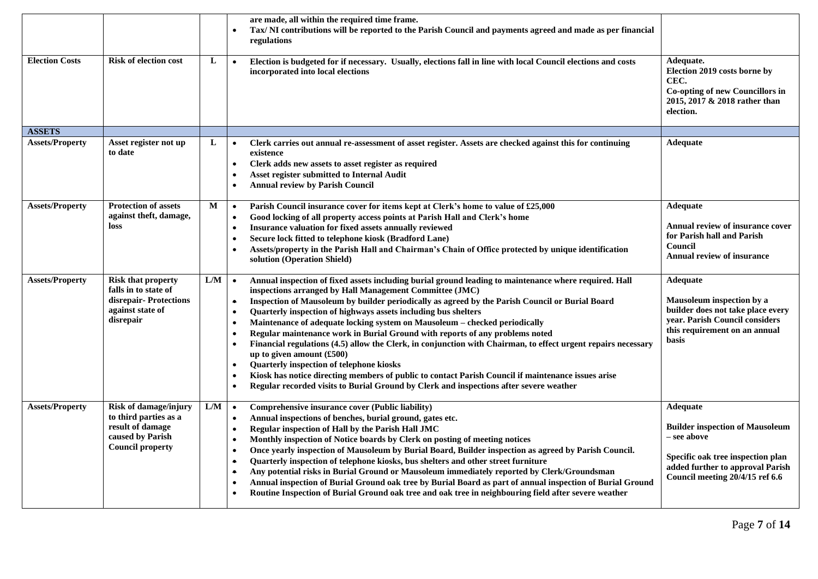| <b>Election Costs</b>  | <b>Risk of election cost</b>                                                                                      | L   | are made, all within the required time frame.<br>Tax/NI contributions will be reported to the Parish Council and payments agreed and made as per financial<br>regulations<br>Election is budgeted for if necessary. Usually, elections fall in line with local Council elections and costs<br>$\bullet$<br>incorporated into local elections                                                                                                                                                                                                                                                                                                                                                                                                                                                                                                                                                                                                                                                                       | Adequate.<br>Election 2019 costs borne by<br>CEC.<br>Co-opting of new Councillors in<br>2015, 2017 & 2018 rather than<br>election.                                                   |
|------------------------|-------------------------------------------------------------------------------------------------------------------|-----|--------------------------------------------------------------------------------------------------------------------------------------------------------------------------------------------------------------------------------------------------------------------------------------------------------------------------------------------------------------------------------------------------------------------------------------------------------------------------------------------------------------------------------------------------------------------------------------------------------------------------------------------------------------------------------------------------------------------------------------------------------------------------------------------------------------------------------------------------------------------------------------------------------------------------------------------------------------------------------------------------------------------|--------------------------------------------------------------------------------------------------------------------------------------------------------------------------------------|
| <b>ASSETS</b>          |                                                                                                                   |     |                                                                                                                                                                                                                                                                                                                                                                                                                                                                                                                                                                                                                                                                                                                                                                                                                                                                                                                                                                                                                    |                                                                                                                                                                                      |
| <b>Assets/Property</b> | Asset register not up<br>to date                                                                                  | L   | Clerk carries out annual re-assessment of asset register. Assets are checked against this for continuing<br>$\bullet$<br>existence<br>Clerk adds new assets to asset register as required<br>$\bullet$<br><b>Asset register submitted to Internal Audit</b><br>$\bullet$<br><b>Annual review by Parish Council</b><br>$\bullet$                                                                                                                                                                                                                                                                                                                                                                                                                                                                                                                                                                                                                                                                                    | <b>Adequate</b>                                                                                                                                                                      |
| <b>Assets/Property</b> | <b>Protection of assets</b><br>against theft, damage,<br>loss                                                     | M   | Parish Council insurance cover for items kept at Clerk's home to value of £25,000<br>$\bullet$<br>Good locking of all property access points at Parish Hall and Clerk's home<br>$\bullet$<br>Insurance valuation for fixed assets annually reviewed<br>$\bullet$<br>Secure lock fitted to telephone kiosk (Bradford Lane)<br>$\bullet$<br>Assets/property in the Parish Hall and Chairman's Chain of Office protected by unique identification<br>$\bullet$<br>solution (Operation Shield)                                                                                                                                                                                                                                                                                                                                                                                                                                                                                                                         | <b>Adequate</b><br>Annual review of insurance cover<br>for Parish hall and Parish<br>Council<br><b>Annual review of insurance</b>                                                    |
| <b>Assets/Property</b> | <b>Risk that property</b><br>falls in to state of<br>disrepair-Protections<br>against state of<br>disrepair       | L/M | Annual inspection of fixed assets including burial ground leading to maintenance where required. Hall<br>$\bullet$<br>inspections arranged by Hall Management Committee (JMC)<br>Inspection of Mausoleum by builder periodically as agreed by the Parish Council or Burial Board<br>$\bullet$<br>Quarterly inspection of highways assets including bus shelters<br>$\bullet$<br>Maintenance of adequate locking system on Mausoleum - checked periodically<br>$\bullet$<br>Regular maintenance work in Burial Ground with reports of any problems noted<br>$\bullet$<br>Financial regulations (4.5) allow the Clerk, in conjunction with Chairman, to effect urgent repairs necessary<br>$\bullet$<br>up to given amount (£500)<br>Quarterly inspection of telephone kiosks<br>$\bullet$<br>Kiosk has notice directing members of public to contact Parish Council if maintenance issues arise<br>$\bullet$<br>Regular recorded visits to Burial Ground by Clerk and inspections after severe weather<br>$\bullet$ | <b>Adequate</b><br>Mausoleum inspection by a<br>builder does not take place every<br>year. Parish Council considers<br>this requirement on an annual<br>basis                        |
| <b>Assets/Property</b> | Risk of damage/injury<br>to third parties as a<br>result of damage<br>caused by Parish<br><b>Council property</b> | L/M | Comprehensive insurance cover (Public liability)<br>$\bullet$<br>Annual inspections of benches, burial ground, gates etc.<br>$\bullet$<br>Regular inspection of Hall by the Parish Hall JMC<br>$\bullet$<br>Monthly inspection of Notice boards by Clerk on posting of meeting notices<br>$\bullet$<br>Once yearly inspection of Mausoleum by Burial Board, Builder inspection as agreed by Parish Council.<br>$\bullet$<br>Quarterly inspection of telephone kiosks, bus shelters and other street furniture<br>$\bullet$<br>Any potential risks in Burial Ground or Mausoleum immediately reported by Clerk/Groundsman<br>$\bullet$<br>Annual inspection of Burial Ground oak tree by Burial Board as part of annual inspection of Burial Ground<br>$\bullet$<br>Routine Inspection of Burial Ground oak tree and oak tree in neighbouring field after severe weather                                                                                                                                            | <b>Adequate</b><br><b>Builder inspection of Mausoleum</b><br>– see above<br>Specific oak tree inspection plan<br>added further to approval Parish<br>Council meeting 20/4/15 ref 6.6 |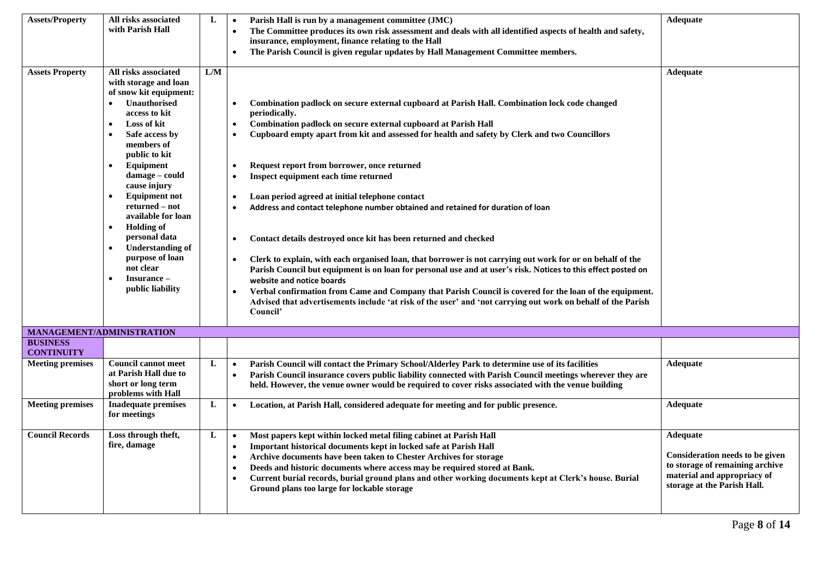| <b>Assets/Property</b>               | All risks associated<br>with Parish Hall                                                                                                                                                                                                                                                                                                                                                                                         | L   | Parish Hall is run by a management committee (JMC)<br>$\bullet$<br>The Committee produces its own risk assessment and deals with all identified aspects of health and safety,<br>$\bullet$<br>insurance, employment, finance relating to the Hall<br>The Parish Council is given regular updates by Hall Management Committee members.                                                                                                                                                                                                                                                                                                                                                                                                                                                                                                                                                                                                                                                                                                                                                                                                                                                        | Adequate                                                                                                                                     |
|--------------------------------------|----------------------------------------------------------------------------------------------------------------------------------------------------------------------------------------------------------------------------------------------------------------------------------------------------------------------------------------------------------------------------------------------------------------------------------|-----|-----------------------------------------------------------------------------------------------------------------------------------------------------------------------------------------------------------------------------------------------------------------------------------------------------------------------------------------------------------------------------------------------------------------------------------------------------------------------------------------------------------------------------------------------------------------------------------------------------------------------------------------------------------------------------------------------------------------------------------------------------------------------------------------------------------------------------------------------------------------------------------------------------------------------------------------------------------------------------------------------------------------------------------------------------------------------------------------------------------------------------------------------------------------------------------------------|----------------------------------------------------------------------------------------------------------------------------------------------|
| <b>Assets Property</b>               | All risks associated<br>with storage and loan<br>of snow kit equipment:<br>Unauthorised<br>access to kit<br>Loss of kit<br>Safe access by<br>members of<br>public to kit<br>Equipment<br>damage - could<br>cause injury<br><b>Equipment not</b><br>returned – not<br>available for loan<br><b>Holding of</b><br>٠<br>personal data<br><b>Understanding of</b><br>purpose of loan<br>not clear<br>Insurance -<br>public liability | L/M | Combination padlock on secure external cupboard at Parish Hall. Combination lock code changed<br>$\bullet$<br>periodically.<br>Combination padlock on secure external cupboard at Parish Hall<br>$\bullet$<br>Cupboard empty apart from kit and assessed for health and safety by Clerk and two Councillors<br>$\bullet$<br>Request report from borrower, once returned<br>$\bullet$<br>Inspect equipment each time returned<br>$\bullet$<br>Loan period agreed at initial telephone contact<br>$\bullet$<br>Address and contact telephone number obtained and retained for duration of loan<br>$\bullet$<br>Contact details destroyed once kit has been returned and checked<br>Clerk to explain, with each organised loan, that borrower is not carrying out work for or on behalf of the<br>$\bullet$<br>Parish Council but equipment is on loan for personal use and at user's risk. Notices to this effect posted on<br>website and notice boards<br>Verbal confirmation from Came and Company that Parish Council is covered for the loan of the equipment.<br>Advised that advertisements include 'at risk of the user' and 'not carrying out work on behalf of the Parish<br>Council' | <b>Adequate</b>                                                                                                                              |
| MANAGEMENT/ADMINISTRATION            |                                                                                                                                                                                                                                                                                                                                                                                                                                  |     |                                                                                                                                                                                                                                                                                                                                                                                                                                                                                                                                                                                                                                                                                                                                                                                                                                                                                                                                                                                                                                                                                                                                                                                               |                                                                                                                                              |
| <b>BUSINESS</b><br><b>CONTINUITY</b> |                                                                                                                                                                                                                                                                                                                                                                                                                                  |     |                                                                                                                                                                                                                                                                                                                                                                                                                                                                                                                                                                                                                                                                                                                                                                                                                                                                                                                                                                                                                                                                                                                                                                                               |                                                                                                                                              |
| <b>Meeting premises</b>              | <b>Council cannot meet</b><br>at Parish Hall due to<br>short or long term<br>problems with Hall                                                                                                                                                                                                                                                                                                                                  | L   | Parish Council will contact the Primary School/Alderley Park to determine use of its facilities<br>$\bullet$<br>Parish Council insurance covers public liability connected with Parish Council meetings wherever they are<br>$\bullet$<br>held. However, the venue owner would be required to cover risks associated with the venue building                                                                                                                                                                                                                                                                                                                                                                                                                                                                                                                                                                                                                                                                                                                                                                                                                                                  | Adequate                                                                                                                                     |
| <b>Meeting premises</b>              | <b>Inadequate premises</b><br>for meetings                                                                                                                                                                                                                                                                                                                                                                                       | L   | Location, at Parish Hall, considered adequate for meeting and for public presence.<br>$\bullet$                                                                                                                                                                                                                                                                                                                                                                                                                                                                                                                                                                                                                                                                                                                                                                                                                                                                                                                                                                                                                                                                                               | Adequate                                                                                                                                     |
| <b>Council Records</b>               | Loss through theft,<br>fire, damage                                                                                                                                                                                                                                                                                                                                                                                              | L   | Most papers kept within locked metal filing cabinet at Parish Hall<br>$\bullet$<br>Important historical documents kept in locked safe at Parish Hall<br>$\bullet$<br>Archive documents have been taken to Chester Archives for storage<br>$\bullet$<br>Deeds and historic documents where access may be required stored at Bank.<br>$\bullet$<br>Current burial records, burial ground plans and other working documents kept at Clerk's house. Burial<br>$\bullet$<br>Ground plans too large for lockable storage                                                                                                                                                                                                                                                                                                                                                                                                                                                                                                                                                                                                                                                                            | Adequate<br>Consideration needs to be given<br>to storage of remaining archive<br>material and appropriacy of<br>storage at the Parish Hall. |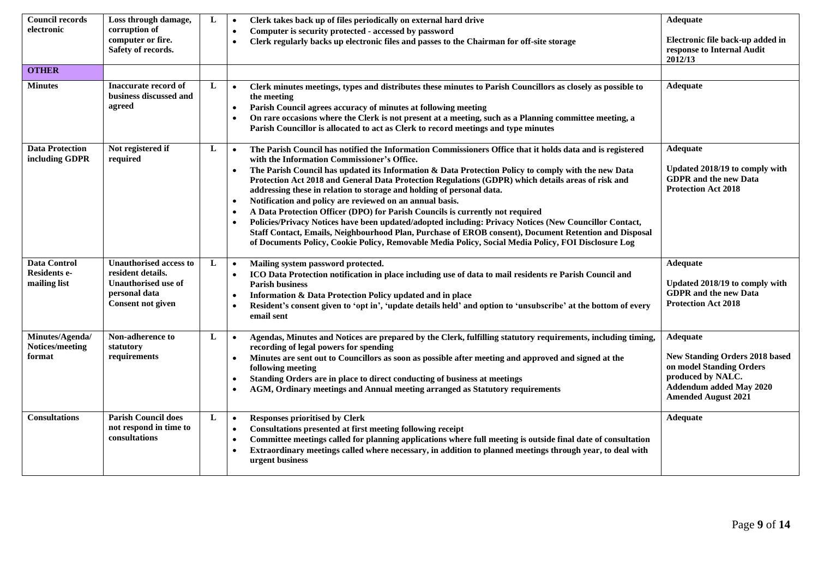| <b>Council records</b>                              | Loss through damage,                                                                                                          | L | Clerk takes back up of files periodically on external hard drive<br>$\bullet$                                                                                                                                                                                                                                                                                                                                                                                                                                                                                                                                                                                                                                                                                                                                                                                                                                                                                             | Adequate                                                                                                                                                           |
|-----------------------------------------------------|-------------------------------------------------------------------------------------------------------------------------------|---|---------------------------------------------------------------------------------------------------------------------------------------------------------------------------------------------------------------------------------------------------------------------------------------------------------------------------------------------------------------------------------------------------------------------------------------------------------------------------------------------------------------------------------------------------------------------------------------------------------------------------------------------------------------------------------------------------------------------------------------------------------------------------------------------------------------------------------------------------------------------------------------------------------------------------------------------------------------------------|--------------------------------------------------------------------------------------------------------------------------------------------------------------------|
| electronic                                          | corruption of<br>computer or fire.<br>Safety of records.                                                                      |   | Computer is security protected - accessed by password<br>$\bullet$<br>Clerk regularly backs up electronic files and passes to the Chairman for off-site storage<br>$\bullet$                                                                                                                                                                                                                                                                                                                                                                                                                                                                                                                                                                                                                                                                                                                                                                                              | Electronic file back-up added in<br>response to Internal Audit<br>2012/13                                                                                          |
| <b>OTHER</b>                                        |                                                                                                                               |   |                                                                                                                                                                                                                                                                                                                                                                                                                                                                                                                                                                                                                                                                                                                                                                                                                                                                                                                                                                           |                                                                                                                                                                    |
| <b>Minutes</b>                                      | <b>Inaccurate record of</b><br>business discussed and<br>agreed                                                               | L | Clerk minutes meetings, types and distributes these minutes to Parish Councillors as closely as possible to<br>$\bullet$<br>the meeting<br>Parish Council agrees accuracy of minutes at following meeting<br>$\bullet$<br>On rare occasions where the Clerk is not present at a meeting, such as a Planning committee meeting, a<br>$\bullet$<br>Parish Councillor is allocated to act as Clerk to record meetings and type minutes                                                                                                                                                                                                                                                                                                                                                                                                                                                                                                                                       | <b>Adequate</b>                                                                                                                                                    |
| <b>Data Protection</b><br>including GDPR            | Not registered if<br>required                                                                                                 | L | The Parish Council has notified the Information Commissioners Office that it holds data and is registered<br>$\bullet$<br>with the Information Commissioner's Office.<br>The Parish Council has updated its Information & Data Protection Policy to comply with the new Data<br>$\bullet$<br>Protection Act 2018 and General Data Protection Regulations (GDPR) which details areas of risk and<br>addressing these in relation to storage and holding of personal data.<br>Notification and policy are reviewed on an annual basis.<br>$\bullet$<br>A Data Protection Officer (DPO) for Parish Councils is currently not required<br>$\bullet$<br>Policies/Privacy Notices have been updated/adopted including: Privacy Notices (New Councillor Contact,<br>Staff Contact, Emails, Neighbourhood Plan, Purchase of EROB consent), Document Retention and Disposal<br>of Documents Policy, Cookie Policy, Removable Media Policy, Social Media Policy, FOI Disclosure Log | Adequate<br>Updated 2018/19 to comply with<br><b>GDPR</b> and the new Data<br><b>Protection Act 2018</b>                                                           |
| <b>Data Control</b><br>Residents e-<br>mailing list | <b>Unauthorised access to</b><br>resident details.<br><b>Unauthorised use of</b><br>personal data<br><b>Consent not given</b> | L | Mailing system password protected.<br>$\bullet$<br>ICO Data Protection notification in place including use of data to mail residents re Parish Council and<br>$\bullet$<br><b>Parish business</b><br>Information & Data Protection Policy updated and in place<br>$\bullet$<br>Resident's consent given to 'opt in', 'update details held' and option to 'unsubscribe' at the bottom of every<br>$\bullet$<br>email sent                                                                                                                                                                                                                                                                                                                                                                                                                                                                                                                                                  | Adequate<br>Updated 2018/19 to comply with<br><b>GDPR</b> and the new Data<br><b>Protection Act 2018</b>                                                           |
| Minutes/Agenda/<br>Notices/meeting<br>format        | Non-adherence to<br>statutory<br>requirements                                                                                 | L | Agendas, Minutes and Notices are prepared by the Clerk, fulfilling statutory requirements, including timing,<br>$\bullet$<br>recording of legal powers for spending<br>Minutes are sent out to Councillors as soon as possible after meeting and approved and signed at the<br>$\bullet$<br>following meeting<br>Standing Orders are in place to direct conducting of business at meetings<br>AGM, Ordinary meetings and Annual meeting arranged as Statutory requirements<br>$\bullet$                                                                                                                                                                                                                                                                                                                                                                                                                                                                                   | Adequate<br><b>New Standing Orders 2018 based</b><br>on model Standing Orders<br>produced by NALC.<br><b>Addendum added May 2020</b><br><b>Amended August 2021</b> |
| <b>Consultations</b>                                | <b>Parish Council does</b><br>not respond in time to<br>consultations                                                         | L | <b>Responses prioritised by Clerk</b><br>$\bullet$<br>Consultations presented at first meeting following receipt<br>$\bullet$<br>Committee meetings called for planning applications where full meeting is outside final date of consultation<br>$\bullet$<br>Extraordinary meetings called where necessary, in addition to planned meetings through year, to deal with<br>$\bullet$<br>urgent business                                                                                                                                                                                                                                                                                                                                                                                                                                                                                                                                                                   | Adequate                                                                                                                                                           |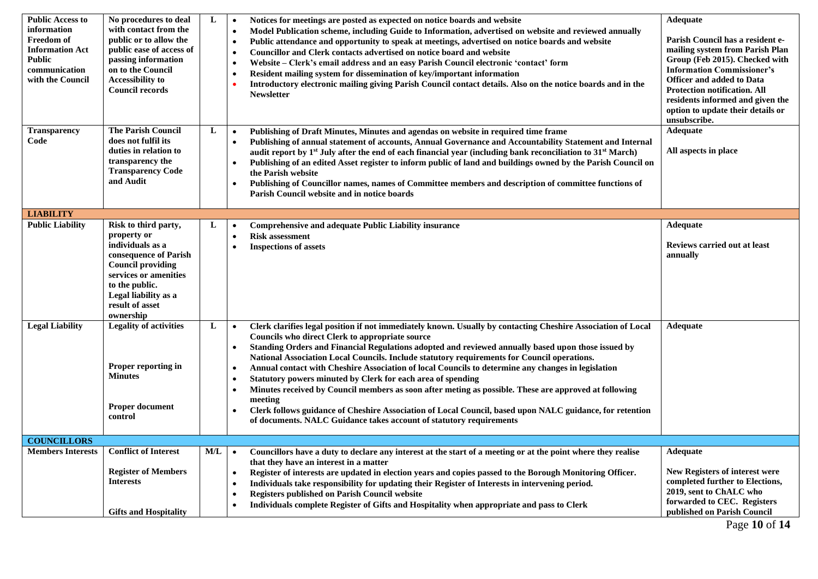| <b>Public Access to</b><br>information<br><b>Freedom of</b><br><b>Information Act</b><br><b>Public</b><br>communication<br>with the Council | No procedures to deal<br>with contact from the<br>public or to allow the<br>public ease of access of<br>passing information<br>on to the Council<br><b>Accessibility to</b><br>Council records                  | L   | Notices for meetings are posted as expected on notice boards and website<br>$\bullet$<br>Model Publication scheme, including Guide to Information, advertised on website and reviewed annually<br>$\bullet$<br>Public attendance and opportunity to speak at meetings, advertised on notice boards and website<br>$\bullet$<br><b>Councillor and Clerk contacts advertised on notice board and website</b><br>$\bullet$<br>Website – Clerk's email address and an easy Parish Council electronic 'contact' form<br>$\bullet$<br>Resident mailing system for dissemination of key/important information<br>$\bullet$<br>Introductory electronic mailing giving Parish Council contact details. Also on the notice boards and in the<br><b>Newsletter</b>                                                                                                                                                                        | Adequate<br>Parish Council has a resident e-<br>mailing system from Parish Plan<br>Group (Feb 2015). Checked with<br><b>Information Commissioner's</b><br><b>Officer and added to Data</b><br>Protection notification. All<br>residents informed and given the<br>option to update their details or<br>unsubscribe. |
|---------------------------------------------------------------------------------------------------------------------------------------------|-----------------------------------------------------------------------------------------------------------------------------------------------------------------------------------------------------------------|-----|--------------------------------------------------------------------------------------------------------------------------------------------------------------------------------------------------------------------------------------------------------------------------------------------------------------------------------------------------------------------------------------------------------------------------------------------------------------------------------------------------------------------------------------------------------------------------------------------------------------------------------------------------------------------------------------------------------------------------------------------------------------------------------------------------------------------------------------------------------------------------------------------------------------------------------|---------------------------------------------------------------------------------------------------------------------------------------------------------------------------------------------------------------------------------------------------------------------------------------------------------------------|
| <b>Transparency</b><br>Code                                                                                                                 | <b>The Parish Council</b><br>does not fulfil its<br>duties in relation to<br>transparency the<br><b>Transparency Code</b><br>and Audit                                                                          | L   | Publishing of Draft Minutes, Minutes and agendas on website in required time frame<br>$\bullet$<br>Publishing of annual statement of accounts, Annual Governance and Accountability Statement and Internal<br>audit report by $1st$ July after the end of each financial year (including bank reconciliation to 31 <sup>st</sup> March)<br>Publishing of an edited Asset register to inform public of land and buildings owned by the Parish Council on<br>the Parish website<br>Publishing of Councillor names, names of Committee members and description of committee functions of<br>$\bullet$<br>Parish Council website and in notice boards                                                                                                                                                                                                                                                                              | <b>Adequate</b><br>All aspects in place                                                                                                                                                                                                                                                                             |
| <b>LIABILITY</b>                                                                                                                            |                                                                                                                                                                                                                 |     |                                                                                                                                                                                                                                                                                                                                                                                                                                                                                                                                                                                                                                                                                                                                                                                                                                                                                                                                |                                                                                                                                                                                                                                                                                                                     |
| <b>Public Liability</b>                                                                                                                     | Risk to third party,<br>property or<br>individuals as a<br>consequence of Parish<br><b>Council providing</b><br>services or amenities<br>to the public.<br>Legal liability as a<br>result of asset<br>ownership | L   | <b>Comprehensive and adequate Public Liability insurance</b><br>$\bullet$<br><b>Risk assessment</b><br>$\bullet$<br><b>Inspections of assets</b>                                                                                                                                                                                                                                                                                                                                                                                                                                                                                                                                                                                                                                                                                                                                                                               | <b>Adequate</b><br><b>Reviews carried out at least</b><br>annually                                                                                                                                                                                                                                                  |
| <b>Legal Liability</b>                                                                                                                      | <b>Legality of activities</b><br>Proper reporting in<br><b>Minutes</b><br><b>Proper document</b><br>control                                                                                                     | L   | Clerk clarifies legal position if not immediately known. Usually by contacting Cheshire Association of Local<br>$\bullet$<br>Councils who direct Clerk to appropriate source<br>Standing Orders and Financial Regulations adopted and reviewed annually based upon those issued by<br>$\bullet$<br>National Association Local Councils. Include statutory requirements for Council operations.<br>Annual contact with Cheshire Association of local Councils to determine any changes in legislation<br>$\bullet$<br>Statutory powers minuted by Clerk for each area of spending<br>$\bullet$<br>Minutes received by Council members as soon after meting as possible. These are approved at following<br>$\bullet$<br>meeting<br>Clerk follows guidance of Cheshire Association of Local Council, based upon NALC guidance, for retention<br>$\bullet$<br>of documents. NALC Guidance takes account of statutory requirements | <b>Adequate</b>                                                                                                                                                                                                                                                                                                     |
| <b>COUNCILLORS</b>                                                                                                                          |                                                                                                                                                                                                                 |     |                                                                                                                                                                                                                                                                                                                                                                                                                                                                                                                                                                                                                                                                                                                                                                                                                                                                                                                                |                                                                                                                                                                                                                                                                                                                     |
| <b>Members Interests</b>                                                                                                                    | <b>Conflict of Interest</b><br><b>Register of Members</b><br><b>Interests</b><br><b>Gifts and Hospitality</b>                                                                                                   | M/L | Councillors have a duty to declare any interest at the start of a meeting or at the point where they realise<br>$\bullet$<br>that they have an interest in a matter<br>Register of interests are updated in election years and copies passed to the Borough Monitoring Officer.<br>$\bullet$<br>Individuals take responsibility for updating their Register of Interests in intervening period.<br>$\bullet$<br><b>Registers published on Parish Council website</b><br>$\bullet$<br>Individuals complete Register of Gifts and Hospitality when appropriate and pass to Clerk<br>$\bullet$                                                                                                                                                                                                                                                                                                                                    | <b>Adequate</b><br>New Registers of interest were<br>completed further to Elections,<br>2019, sent to ChALC who<br>forwarded to CEC. Registers<br>published on Parish Council                                                                                                                                       |

Page **10** of **14**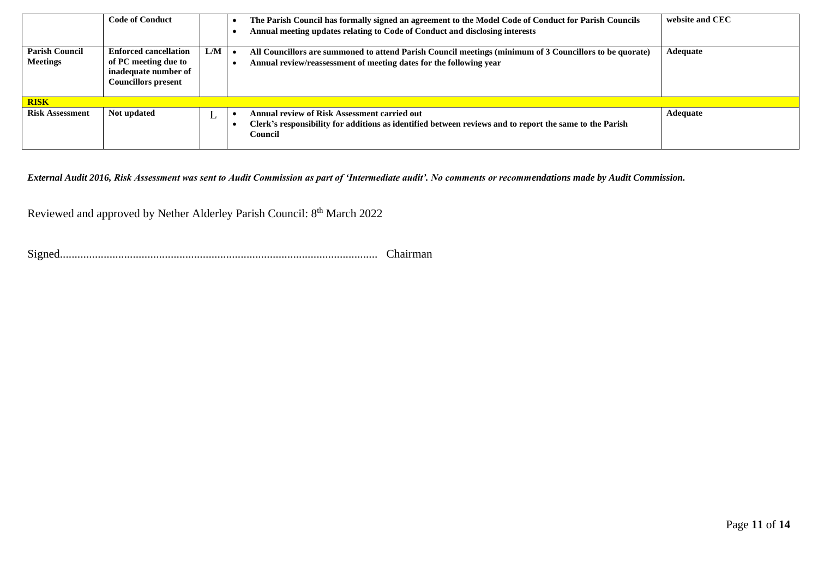|                                          | <b>Code of Conduct</b>                                                                                     |     | The Parish Council has formally signed an agreement to the Model Code of Conduct for Parish Councils<br>Annual meeting updates relating to Code of Conduct and disclosing interests | website and CEC |
|------------------------------------------|------------------------------------------------------------------------------------------------------------|-----|-------------------------------------------------------------------------------------------------------------------------------------------------------------------------------------|-----------------|
| <b>Parish Council</b><br><b>Meetings</b> | <b>Enforced cancellation</b><br>of PC meeting due to<br>inadequate number of<br><b>Councillors present</b> | L/M | All Councillors are summoned to attend Parish Council meetings (minimum of 3 Councillors to be quorate)<br>Annual review/reassessment of meeting dates for the following year       | Adequate        |
| <b>RISK</b>                              |                                                                                                            |     |                                                                                                                                                                                     |                 |
| <b>Risk Assessment</b>                   | Not updated                                                                                                | L   | <b>Annual review of Risk Assessment carried out</b><br>Clerk's responsibility for additions as identified between reviews and to report the same to the Parish<br>Council           | Adequate        |

*External Audit 2016, Risk Assessment was sent to Audit Commission as part of 'Intermediate audit'. No comments or recommendations made by Audit Commission.*

Reviewed and approved by Nether Alderley Parish Council: 8<sup>th</sup> March 2022

Signed............................................................................................................. Chairman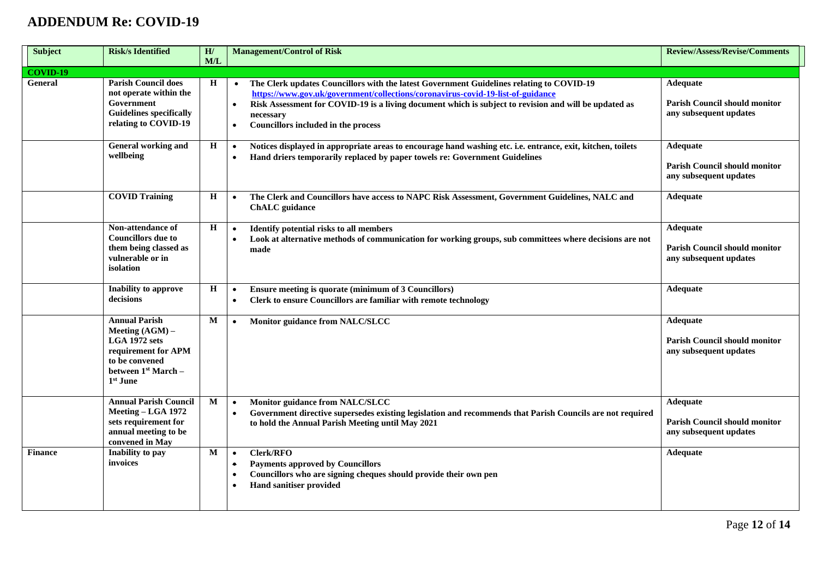## **ADDENDUM Re: COVID-19**

| <b>Subject</b>  | <b>Risk/s Identified</b>                                                                                                                 | H/<br>M/L    | <b>Management/Control of Risk</b>                                                                                                                                                                                                                                                                                                                                               | <b>Review/Assess/Revise/Comments</b>                                              |
|-----------------|------------------------------------------------------------------------------------------------------------------------------------------|--------------|---------------------------------------------------------------------------------------------------------------------------------------------------------------------------------------------------------------------------------------------------------------------------------------------------------------------------------------------------------------------------------|-----------------------------------------------------------------------------------|
| <b>COVID-19</b> |                                                                                                                                          |              |                                                                                                                                                                                                                                                                                                                                                                                 |                                                                                   |
| General         | <b>Parish Council does</b><br>not operate within the<br>Government<br><b>Guidelines specifically</b><br>relating to COVID-19             | H            | The Clerk updates Councillors with the latest Government Guidelines relating to COVID-19<br>$\bullet$<br>https://www.gov.uk/government/collections/coronavirus-covid-19-list-of-guidance<br>Risk Assessment for COVID-19 is a living document which is subject to revision and will be updated as<br>$\bullet$<br>necessary<br>Councillors included in the process<br>$\bullet$ | <b>Adequate</b><br><b>Parish Council should monitor</b><br>any subsequent updates |
|                 | General working and<br>wellbeing                                                                                                         | $\, {\bf H}$ | Notices displayed in appropriate areas to encourage hand washing etc. i.e. entrance, exit, kitchen, toilets<br>$\bullet$<br>Hand driers temporarily replaced by paper towels re: Government Guidelines<br>$\bullet$                                                                                                                                                             | Adequate<br><b>Parish Council should monitor</b><br>any subsequent updates        |
|                 | <b>COVID Training</b>                                                                                                                    | $\mathbf H$  | The Clerk and Councillors have access to NAPC Risk Assessment, Government Guidelines, NALC and<br>$\bullet$<br><b>ChALC</b> guidance                                                                                                                                                                                                                                            | <b>Adequate</b>                                                                   |
|                 | Non-attendance of<br><b>Councillors</b> due to<br>them being classed as<br>vulnerable or in<br>isolation                                 | H            | Identify potential risks to all members<br>$\bullet$<br>Look at alternative methods of communication for working groups, sub committees where decisions are not<br>$\bullet$<br>made                                                                                                                                                                                            | Adequate<br><b>Parish Council should monitor</b><br>any subsequent updates        |
|                 | Inability to approve<br>decisions                                                                                                        | Н            | Ensure meeting is quorate (minimum of 3 Councillors)<br>$\bullet$<br>Clerk to ensure Councillors are familiar with remote technology<br>$\bullet$                                                                                                                                                                                                                               | Adequate                                                                          |
|                 | <b>Annual Parish</b><br>Meeting (AGM) -<br>LGA 1972 sets<br>requirement for APM<br>to be convened<br>between $1st March -$<br>$1st$ June | М            | Monitor guidance from NALC/SLCC<br>$\bullet$                                                                                                                                                                                                                                                                                                                                    | <b>Adequate</b><br><b>Parish Council should monitor</b><br>any subsequent updates |
|                 | <b>Annual Parish Council</b><br>Meeting - LGA 1972<br>sets requirement for<br>annual meeting to be<br>convened in May                    | М            | Monitor guidance from NALC/SLCC<br>$\bullet$<br>Government directive supersedes existing legislation and recommends that Parish Councils are not required<br>$\bullet$<br>to hold the Annual Parish Meeting until May 2021                                                                                                                                                      | <b>Adequate</b><br><b>Parish Council should monitor</b><br>any subsequent updates |
| <b>Finance</b>  | Inability to pay<br>invoices                                                                                                             | M            | Clerk/RFO<br>$\bullet$<br><b>Payments approved by Councillors</b><br>$\bullet$<br>Councillors who are signing cheques should provide their own pen<br>$\bullet$<br><b>Hand sanitiser provided</b>                                                                                                                                                                               | Adequate                                                                          |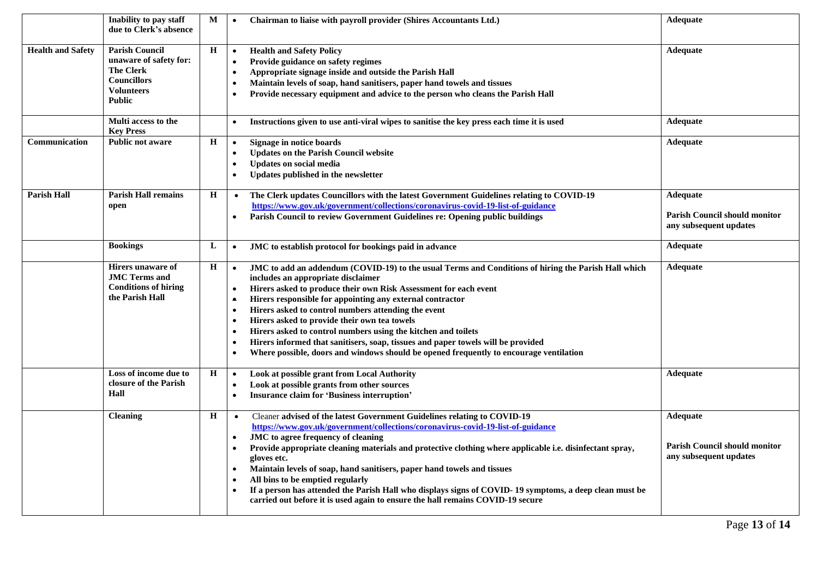|                          | Inability to pay staff<br>due to Clerk's absence                                                                                | M           | Chairman to liaise with payroll provider (Shires Accountants Ltd.)<br>$\bullet$                                                                                                                                                                                                                                                                                                                                                                                                                                                                                                                                                                                                                                             | Adequate                                                                          |
|--------------------------|---------------------------------------------------------------------------------------------------------------------------------|-------------|-----------------------------------------------------------------------------------------------------------------------------------------------------------------------------------------------------------------------------------------------------------------------------------------------------------------------------------------------------------------------------------------------------------------------------------------------------------------------------------------------------------------------------------------------------------------------------------------------------------------------------------------------------------------------------------------------------------------------------|-----------------------------------------------------------------------------------|
| <b>Health and Safety</b> | <b>Parish Council</b><br>unaware of safety for:<br><b>The Clerk</b><br><b>Councillors</b><br><b>Volunteers</b><br><b>Public</b> | $\mathbf H$ | <b>Health and Safety Policy</b><br>$\bullet$<br>Provide guidance on safety regimes<br>$\bullet$<br>Appropriate signage inside and outside the Parish Hall<br>$\bullet$<br>Maintain levels of soap, hand sanitisers, paper hand towels and tissues<br>$\bullet$<br>Provide necessary equipment and advice to the person who cleans the Parish Hall                                                                                                                                                                                                                                                                                                                                                                           | Adequate                                                                          |
|                          | Multi access to the<br><b>Key Press</b>                                                                                         |             | Instructions given to use anti-viral wipes to sanitise the key press each time it is used<br>$\bullet$                                                                                                                                                                                                                                                                                                                                                                                                                                                                                                                                                                                                                      | Adequate                                                                          |
| Communication            | <b>Public not aware</b>                                                                                                         | $\mathbf H$ | Signage in notice boards<br>$\bullet$<br><b>Updates on the Parish Council website</b><br>$\bullet$<br><b>Updates on social media</b><br>$\bullet$<br>Updates published in the newsletter                                                                                                                                                                                                                                                                                                                                                                                                                                                                                                                                    | <b>Adequate</b>                                                                   |
| <b>Parish Hall</b>       | <b>Parish Hall remains</b><br>open                                                                                              | H           | The Clerk updates Councillors with the latest Government Guidelines relating to COVID-19<br>$\bullet$<br>https://www.gov.uk/government/collections/coronavirus-covid-19-list-of-guidance<br>Parish Council to review Government Guidelines re: Opening public buildings<br>$\bullet$                                                                                                                                                                                                                                                                                                                                                                                                                                        | <b>Adequate</b><br><b>Parish Council should monitor</b><br>any subsequent updates |
|                          | <b>Bookings</b>                                                                                                                 | L           | JMC to establish protocol for bookings paid in advance<br>$\bullet$                                                                                                                                                                                                                                                                                                                                                                                                                                                                                                                                                                                                                                                         | Adequate                                                                          |
|                          | Hirers unaware of<br><b>JMC Terms and</b><br><b>Conditions of hiring</b><br>the Parish Hall                                     | $\mathbf H$ | JMC to add an addendum (COVID-19) to the usual Terms and Conditions of hiring the Parish Hall which<br>$\bullet$<br>includes an appropriate disclaimer<br>Hirers asked to produce their own Risk Assessment for each event<br>$\bullet$<br>Hirers responsible for appointing any external contractor<br>$\bullet$<br>Hirers asked to control numbers attending the event<br>$\bullet$<br>Hirers asked to provide their own tea towels<br>Hirers asked to control numbers using the kitchen and toilets<br>$\bullet$<br>Hirers informed that sanitisers, soap, tissues and paper towels will be provided<br>$\bullet$<br>Where possible, doors and windows should be opened frequently to encourage ventilation<br>$\bullet$ | <b>Adequate</b>                                                                   |
|                          | Loss of income due to<br>closure of the Parish<br>Hall                                                                          | H           | Look at possible grant from Local Authority<br>$\bullet$<br>Look at possible grants from other sources<br>$\bullet$<br><b>Insurance claim for 'Business interruption'</b><br>$\bullet$                                                                                                                                                                                                                                                                                                                                                                                                                                                                                                                                      | Adequate                                                                          |
|                          | <b>Cleaning</b>                                                                                                                 | H           | Cleaner advised of the latest Government Guidelines relating to COVID-19<br>$\bullet$<br>https://www.gov.uk/government/collections/coronavirus-covid-19-list-of-guidance<br>JMC to agree frequency of cleaning<br>$\bullet$<br>Provide appropriate cleaning materials and protective clothing where applicable i.e. disinfectant spray,<br>gloves etc.<br>Maintain levels of soap, hand sanitisers, paper hand towels and tissues<br>$\bullet$<br>All bins to be emptied regularly<br>$\bullet$<br>If a person has attended the Parish Hall who displays signs of COVID-19 symptoms, a deep clean must be<br>carried out before it is used again to ensure the hall remains COVID-19 secure                                 | Adequate<br><b>Parish Council should monitor</b><br>any subsequent updates        |